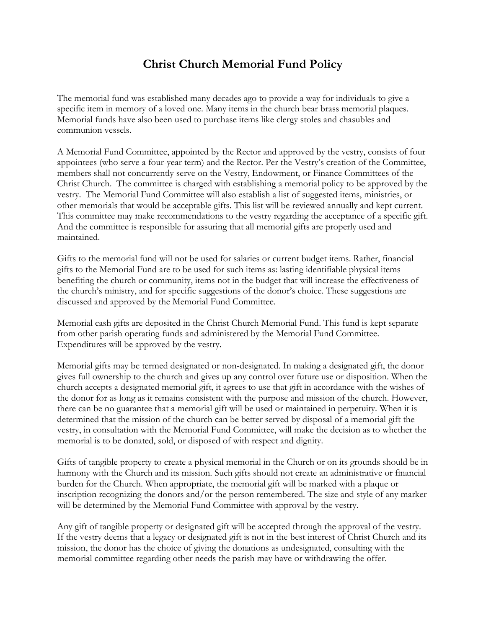## **Christ Church Memorial Fund Policy**

The memorial fund was established many decades ago to provide a way for individuals to give a specific item in memory of a loved one. Many items in the church bear brass memorial plaques. Memorial funds have also been used to purchase items like clergy stoles and chasubles and communion vessels.

A Memorial Fund Committee, appointed by the Rector and approved by the vestry, consists of four appointees (who serve a four-year term) and the Rector. Per the Vestry's creation of the Committee, members shall not concurrently serve on the Vestry, Endowment, or Finance Committees of the Christ Church. The committee is charged with establishing a memorial policy to be approved by the vestry. The Memorial Fund Committee will also establish a list of suggested items, ministries, or other memorials that would be acceptable gifts. This list will be reviewed annually and kept current. This committee may make recommendations to the vestry regarding the acceptance of a specific gift. And the committee is responsible for assuring that all memorial gifts are properly used and maintained.

Gifts to the memorial fund will not be used for salaries or current budget items. Rather, financial gifts to the Memorial Fund are to be used for such items as: lasting identifiable physical items benefiting the church or community, items not in the budget that will increase the effectiveness of the church's ministry, and for specific suggestions of the donor's choice. These suggestions are discussed and approved by the Memorial Fund Committee.

Memorial cash gifts are deposited in the Christ Church Memorial Fund. This fund is kept separate from other parish operating funds and administered by the Memorial Fund Committee. Expenditures will be approved by the vestry.

Memorial gifts may be termed designated or non-designated. In making a designated gift, the donor gives full ownership to the church and gives up any control over future use or disposition. When the church accepts a designated memorial gift, it agrees to use that gift in accordance with the wishes of the donor for as long as it remains consistent with the purpose and mission of the church. However, there can be no guarantee that a memorial gift will be used or maintained in perpetuity. When it is determined that the mission of the church can be better served by disposal of a memorial gift the vestry, in consultation with the Memorial Fund Committee, will make the decision as to whether the memorial is to be donated, sold, or disposed of with respect and dignity.

Gifts of tangible property to create a physical memorial in the Church or on its grounds should be in harmony with the Church and its mission. Such gifts should not create an administrative or financial burden for the Church. When appropriate, the memorial gift will be marked with a plaque or inscription recognizing the donors and/or the person remembered. The size and style of any marker will be determined by the Memorial Fund Committee with approval by the vestry.

Any gift of tangible property or designated gift will be accepted through the approval of the vestry. If the vestry deems that a legacy or designated gift is not in the best interest of Christ Church and its mission, the donor has the choice of giving the donations as undesignated, consulting with the memorial committee regarding other needs the parish may have or withdrawing the offer.